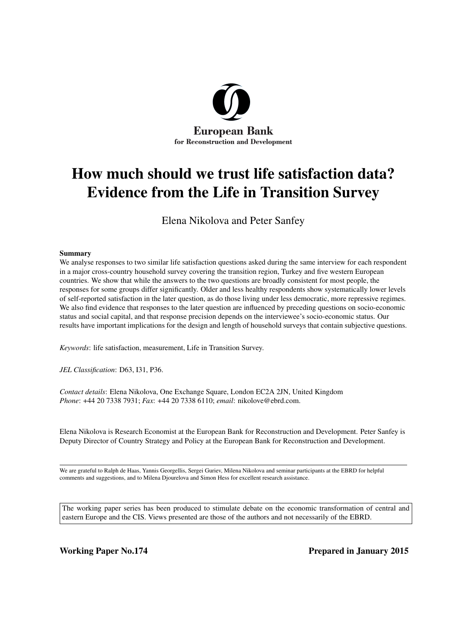

# How much should we trust life satisfaction data? Evidence from the Life in Transition Survey

Elena Nikolova and Peter Sanfey

#### Summary

We analyse responses to two similar life satisfaction questions asked during the same interview for each respondent in a major cross-country household survey covering the transition region, Turkey and five western European countries. We show that while the answers to the two questions are broadly consistent for most people, the responses for some groups differ significantly. Older and less healthy respondents show systematically lower levels of self-reported satisfaction in the later question, as do those living under less democratic, more repressive regimes. We also find evidence that responses to the later question are influenced by preceding questions on socio-economic status and social capital, and that response precision depends on the interviewee's socio-economic status. Our results have important implications for the design and length of household surveys that contain subjective questions.

*Keywords*: life satisfaction, measurement, Life in Transition Survey.

*JEL Classification*: D63, I31, P36.

*Contact details*: Elena Nikolova, One Exchange Square, London EC2A 2JN, United Kingdom *Phone*: +44 20 7338 7931; *Fax*: +44 20 7338 6110; *email*: nikolove@ebrd.com.

Elena Nikolova is Research Economist at the European Bank for Reconstruction and Development. Peter Sanfey is Deputy Director of Country Strategy and Policy at the European Bank for Reconstruction and Development.

We are grateful to Ralph de Haas, Yannis Georgellis, Sergei Guriev, Milena Nikolova and seminar participants at the EBRD for helpful comments and suggestions, and to Milena Djourelova and Simon Hess for excellent research assistance.

The working paper series has been produced to stimulate debate on the economic transformation of central and eastern Europe and the CIS. Views presented are those of the authors and not necessarily of the EBRD.

Working Paper No.174 **Prepared in January 2015**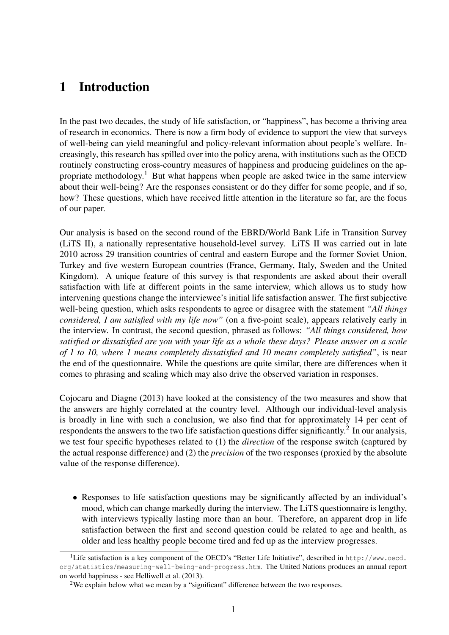# 1 Introduction

In the past two decades, the study of life satisfaction, or "happiness", has become a thriving area of research in economics. There is now a firm body of evidence to support the view that surveys of well-being can yield meaningful and policy-relevant information about people's welfare. Increasingly, this research has spilled over into the policy arena, with institutions such as the OECD routinely constructing cross-country measures of happiness and producing guidelines on the appropriate methodology.<sup>1</sup> But what happens when people are asked twice in the same interview about their well-being? Are the responses consistent or do they differ for some people, and if so, how? These questions, which have received little attention in the literature so far, are the focus of our paper.

Our analysis is based on the second round of the EBRD/World Bank Life in Transition Survey (LiTS II), a nationally representative household-level survey. LiTS II was carried out in late 2010 across 29 transition countries of central and eastern Europe and the former Soviet Union, Turkey and five western European countries (France, Germany, Italy, Sweden and the United Kingdom). A unique feature of this survey is that respondents are asked about their overall satisfaction with life at different points in the same interview, which allows us to study how intervening questions change the interviewee's initial life satisfaction answer. The first subjective well-being question, which asks respondents to agree or disagree with the statement *"All things considered, I am satisfied with my life now"* (on a five-point scale), appears relatively early in the interview. In contrast, the second question, phrased as follows: *"All things considered, how satisfied or dissatisfied are you with your life as a whole these days? Please answer on a scale of 1 to 10, where 1 means completely dissatisfied and 10 means completely satisfied"*, is near the end of the questionnaire. While the questions are quite similar, there are differences when it comes to phrasing and scaling which may also drive the observed variation in responses.

Cojocaru and Diagne (2013) have looked at the consistency of the two measures and show that the answers are highly correlated at the country level. Although our individual-level analysis is broadly in line with such a conclusion, we also find that for approximately 14 per cent of respondents the answers to the two life satisfaction questions differ significantly.<sup>2</sup> In our analysis, we test four specific hypotheses related to (1) the *direction* of the response switch (captured by the actual response difference) and (2) the *precision* of the two responses (proxied by the absolute value of the response difference).

• Responses to life satisfaction questions may be significantly affected by an individual's mood, which can change markedly during the interview. The LiTS questionnaire is lengthy, with interviews typically lasting more than an hour. Therefore, an apparent drop in life satisfaction between the first and second question could be related to age and health, as older and less healthy people become tired and fed up as the interview progresses.

<sup>&</sup>lt;sup>1</sup>Life satisfaction is a key component of the OECD's "Better Life Initiative", described in http://www.oecd. org/statistics/measuring-well-being-and-progress.htm. The United Nations produces an annual report on world happiness - see Helliwell et al. (2013).

<sup>&</sup>lt;sup>2</sup>We explain below what we mean by a "significant" difference between the two responses.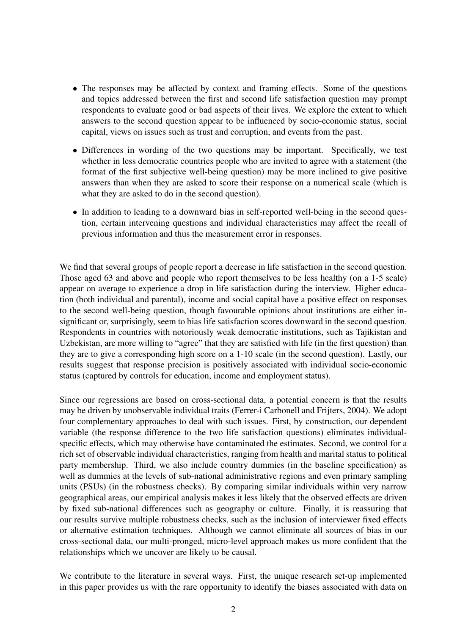- The responses may be affected by context and framing effects. Some of the questions and topics addressed between the first and second life satisfaction question may prompt respondents to evaluate good or bad aspects of their lives. We explore the extent to which answers to the second question appear to be influenced by socio-economic status, social capital, views on issues such as trust and corruption, and events from the past.
- Differences in wording of the two questions may be important. Specifically, we test whether in less democratic countries people who are invited to agree with a statement (the format of the first subjective well-being question) may be more inclined to give positive answers than when they are asked to score their response on a numerical scale (which is what they are asked to do in the second question).
- In addition to leading to a downward bias in self-reported well-being in the second question, certain intervening questions and individual characteristics may affect the recall of previous information and thus the measurement error in responses.

We find that several groups of people report a decrease in life satisfaction in the second question. Those aged 63 and above and people who report themselves to be less healthy (on a 1-5 scale) appear on average to experience a drop in life satisfaction during the interview. Higher education (both individual and parental), income and social capital have a positive effect on responses to the second well-being question, though favourable opinions about institutions are either insignificant or, surprisingly, seem to bias life satisfaction scores downward in the second question. Respondents in countries with notoriously weak democratic institutions, such as Tajikistan and Uzbekistan, are more willing to "agree" that they are satisfied with life (in the first question) than they are to give a corresponding high score on a 1-10 scale (in the second question). Lastly, our results suggest that response precision is positively associated with individual socio-economic status (captured by controls for education, income and employment status).

Since our regressions are based on cross-sectional data, a potential concern is that the results may be driven by unobservable individual traits (Ferrer-i Carbonell and Frijters, 2004). We adopt four complementary approaches to deal with such issues. First, by construction, our dependent variable (the response difference to the two life satisfaction questions) eliminates individualspecific effects, which may otherwise have contaminated the estimates. Second, we control for a rich set of observable individual characteristics, ranging from health and marital status to political party membership. Third, we also include country dummies (in the baseline specification) as well as dummies at the levels of sub-national administrative regions and even primary sampling units (PSUs) (in the robustness checks). By comparing similar individuals within very narrow geographical areas, our empirical analysis makes it less likely that the observed effects are driven by fixed sub-national differences such as geography or culture. Finally, it is reassuring that our results survive multiple robustness checks, such as the inclusion of interviewer fixed effects or alternative estimation techniques. Although we cannot eliminate all sources of bias in our cross-sectional data, our multi-pronged, micro-level approach makes us more confident that the relationships which we uncover are likely to be causal.

We contribute to the literature in several ways. First, the unique research set-up implemented in this paper provides us with the rare opportunity to identify the biases associated with data on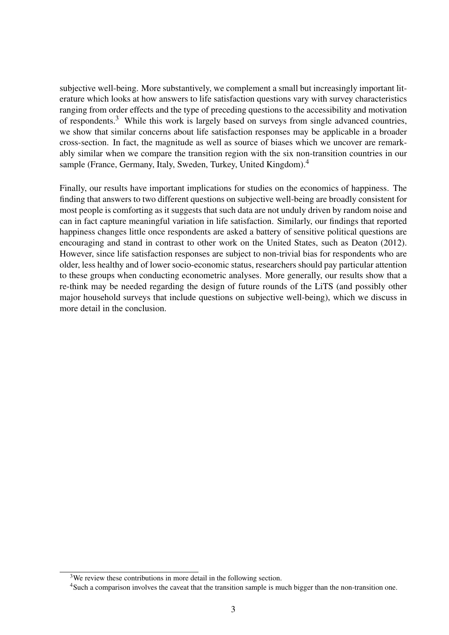subjective well-being. More substantively, we complement a small but increasingly important literature which looks at how answers to life satisfaction questions vary with survey characteristics ranging from order effects and the type of preceding questions to the accessibility and motivation of respondents.<sup>3</sup> While this work is largely based on surveys from single advanced countries, we show that similar concerns about life satisfaction responses may be applicable in a broader cross-section. In fact, the magnitude as well as source of biases which we uncover are remarkably similar when we compare the transition region with the six non-transition countries in our sample (France, Germany, Italy, Sweden, Turkey, United Kingdom).<sup>4</sup>

Finally, our results have important implications for studies on the economics of happiness. The finding that answers to two different questions on subjective well-being are broadly consistent for most people is comforting as it suggests that such data are not unduly driven by random noise and can in fact capture meaningful variation in life satisfaction. Similarly, our findings that reported happiness changes little once respondents are asked a battery of sensitive political questions are encouraging and stand in contrast to other work on the United States, such as Deaton (2012). However, since life satisfaction responses are subject to non-trivial bias for respondents who are older, less healthy and of lower socio-economic status, researchers should pay particular attention to these groups when conducting econometric analyses. More generally, our results show that a re-think may be needed regarding the design of future rounds of the LiTS (and possibly other major household surveys that include questions on subjective well-being), which we discuss in more detail in the conclusion.

<sup>&</sup>lt;sup>3</sup>We review these contributions in more detail in the following section.

<sup>4</sup>Such a comparison involves the caveat that the transition sample is much bigger than the non-transition one.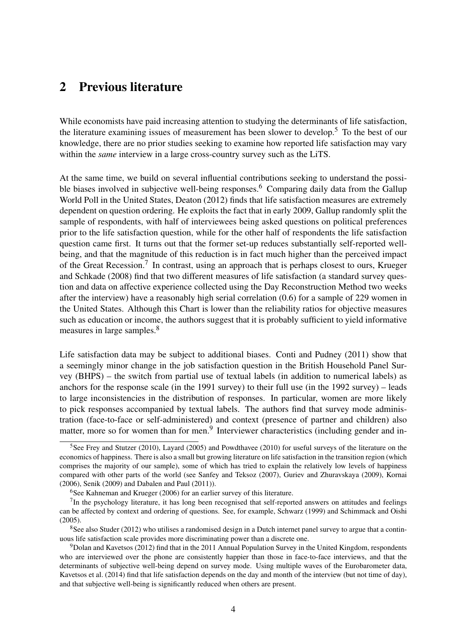# 2 Previous literature

While economists have paid increasing attention to studying the determinants of life satisfaction, the literature examining issues of measurement has been slower to develop.<sup>5</sup> To the best of our knowledge, there are no prior studies seeking to examine how reported life satisfaction may vary within the *same* interview in a large cross-country survey such as the LiTS.

At the same time, we build on several influential contributions seeking to understand the possible biases involved in subjective well-being responses.<sup>6</sup> Comparing daily data from the Gallup World Poll in the United States, Deaton (2012) finds that life satisfaction measures are extremely dependent on question ordering. He exploits the fact that in early 2009, Gallup randomly split the sample of respondents, with half of interviewees being asked questions on political preferences prior to the life satisfaction question, while for the other half of respondents the life satisfaction question came first. It turns out that the former set-up reduces substantially self-reported wellbeing, and that the magnitude of this reduction is in fact much higher than the perceived impact of the Great Recession.<sup>7</sup> In contrast, using an approach that is perhaps closest to ours, Krueger and Schkade (2008) find that two different measures of life satisfaction (a standard survey question and data on affective experience collected using the Day Reconstruction Method two weeks after the interview) have a reasonably high serial correlation (0.6) for a sample of 229 women in the United States. Although this Chart is lower than the reliability ratios for objective measures such as education or income, the authors suggest that it is probably sufficient to yield informative measures in large samples.<sup>8</sup>

Life satisfaction data may be subject to additional biases. Conti and Pudney (2011) show that a seemingly minor change in the job satisfaction question in the British Household Panel Survey (BHPS) – the switch from partial use of textual labels (in addition to numerical labels) as anchors for the response scale (in the 1991 survey) to their full use (in the 1992 survey) – leads to large inconsistencies in the distribution of responses. In particular, women are more likely to pick responses accompanied by textual labels. The authors find that survey mode administration (face-to-face or self-administered) and context (presence of partner and children) also matter, more so for women than for men.<sup>9</sup> Interviewer characteristics (including gender and in-

<sup>&</sup>lt;sup>5</sup>See Frey and Stutzer (2010), Layard (2005) and Powdthavee (2010) for useful surveys of the literature on the economics of happiness. There is also a small but growing literature on life satisfaction in the transition region (which comprises the majority of our sample), some of which has tried to explain the relatively low levels of happiness compared with other parts of the world (see Sanfey and Teksoz (2007), Guriev and Zhuravskaya (2009), Kornai (2006), Senik (2009) and Dabalen and Paul (2011)).

 $6$ See Kahneman and Krueger (2006) for an earlier survey of this literature.

 $7$ In the psychology literature, it has long been recognised that self-reported answers on attitudes and feelings can be affected by context and ordering of questions. See, for example, Schwarz (1999) and Schimmack and Oishi (2005).

<sup>&</sup>lt;sup>8</sup>See also Studer (2012) who utilises a randomised design in a Dutch internet panel survey to argue that a continuous life satisfaction scale provides more discriminating power than a discrete one.

<sup>9</sup>Dolan and Kavetsos (2012) find that in the 2011 Annual Population Survey in the United Kingdom, respondents who are interviewed over the phone are consistently happier than those in face-to-face interviews, and that the determinants of subjective well-being depend on survey mode. Using multiple waves of the Eurobarometer data, Kavetsos et al. (2014) find that life satisfaction depends on the day and month of the interview (but not time of day), and that subjective well-being is significantly reduced when others are present.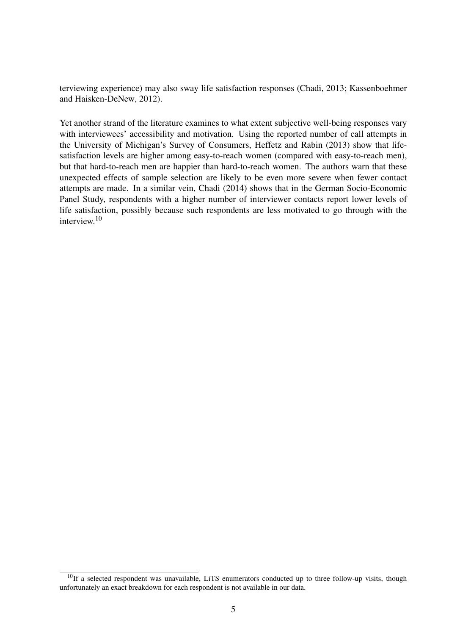terviewing experience) may also sway life satisfaction responses (Chadi, 2013; Kassenboehmer and Haisken-DeNew, 2012).

Yet another strand of the literature examines to what extent subjective well-being responses vary with interviewees' accessibility and motivation. Using the reported number of call attempts in the University of Michigan's Survey of Consumers, Heffetz and Rabin (2013) show that lifesatisfaction levels are higher among easy-to-reach women (compared with easy-to-reach men), but that hard-to-reach men are happier than hard-to-reach women. The authors warn that these unexpected effects of sample selection are likely to be even more severe when fewer contact attempts are made. In a similar vein, Chadi (2014) shows that in the German Socio-Economic Panel Study, respondents with a higher number of interviewer contacts report lower levels of life satisfaction, possibly because such respondents are less motivated to go through with the interview.<sup>10</sup>

<sup>&</sup>lt;sup>10</sup>If a selected respondent was unavailable, LiTS enumerators conducted up to three follow-up visits, though unfortunately an exact breakdown for each respondent is not available in our data.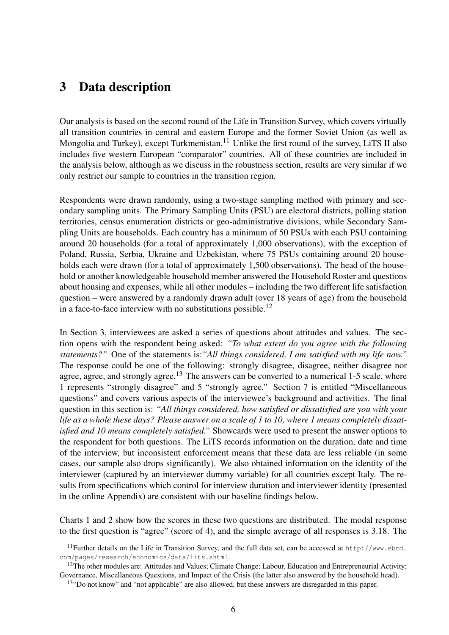# 3 Data description

Our analysis is based on the second round of the Life in Transition Survey, which covers virtually all transition countries in central and eastern Europe and the former Soviet Union (as well as Mongolia and Turkey), except Turkmenistan.<sup>11</sup> Unlike the first round of the survey, LiTS II also includes five western European "comparator" countries. All of these countries are included in the analysis below, although as we discuss in the robustness section, results are very similar if we only restrict our sample to countries in the transition region.

Respondents were drawn randomly, using a two-stage sampling method with primary and secondary sampling units. The Primary Sampling Units (PSU) are electoral districts, polling station territories, census enumeration districts or geo-administrative divisions, while Secondary Sampling Units are households. Each country has a minimum of 50 PSUs with each PSU containing around 20 households (for a total of approximately 1,000 observations), with the exception of Poland, Russia, Serbia, Ukraine and Uzbekistan, where 75 PSUs containing around 20 households each were drawn (for a total of approximately 1,500 observations). The head of the household or another knowledgeable household member answered the Household Roster and questions about housing and expenses, while all other modules – including the two different life satisfaction question – were answered by a randomly drawn adult (over 18 years of age) from the household in a face-to-face interview with no substitutions possible.<sup>12</sup>

In Section 3, interviewees are asked a series of questions about attitudes and values. The section opens with the respondent being asked: *"To what extent do you agree with the following statements?"* One of the statements is:*"All things considered, I am satisfied with my life now."* The response could be one of the following: strongly disagree, disagree, neither disagree nor agree, agree, and strongly agree.<sup>13</sup> The answers can be converted to a numerical 1-5 scale, where 1 represents "strongly disagree" and 5 "strongly agree." Section 7 is entitled "Miscellaneous questions" and covers various aspects of the interviewee's background and activities. The final question in this section is: *"All things considered, how satisfied or dissatisfied are you with your life as a whole these days? Please answer on a scale of 1 to 10, where 1 means completely dissatisfied and 10 means completely satisfied."* Showcards were used to present the answer options to the respondent for both questions. The LiTS records information on the duration, date and time of the interview, but inconsistent enforcement means that these data are less reliable (in some cases, our sample also drops significantly). We also obtained information on the identity of the interviewer (captured by an interviewer dummy variable) for all countries except Italy. The results from specifications which control for interview duration and interviewer identity (presented in the online Appendix) are consistent with our baseline findings below.

Charts 1 and 2 show how the scores in these two questions are distributed. The modal response to the first question is "agree" (score of 4), and the simple average of all responses is 3.18. The

<sup>11</sup>Further details on the Life in Transition Survey, and the full data set, can be accessed at http://www.ebrd. com/pages/research/economics/data/lits.shtml.

<sup>&</sup>lt;sup>12</sup>The other modules are: Attitudes and Values; Climate Change; Labour, Education and Entrepreneurial Activity; Governance, Miscellaneous Questions, and Impact of the Crisis (the latter also answered by the household head).

<sup>&</sup>lt;sup>13"</sup>Do not know" and "not applicable" are also allowed, but these answers are disregarded in this paper.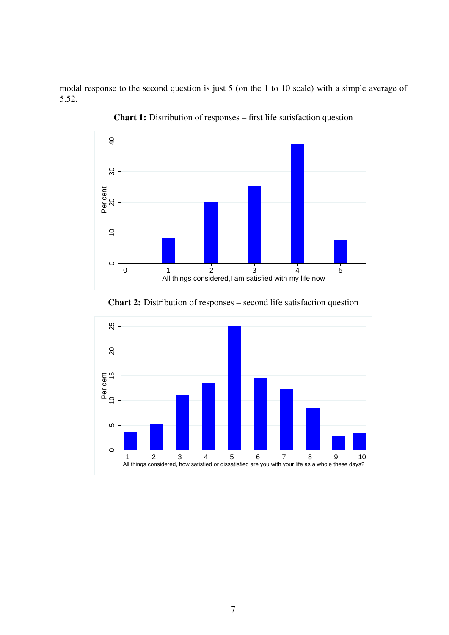modal response to the second question is just 5 (on the 1 to 10 scale) with a simple average of 5.52.



Chart 1: Distribution of responses – first life satisfaction question



Chart 2: Distribution of responses – second life satisfaction question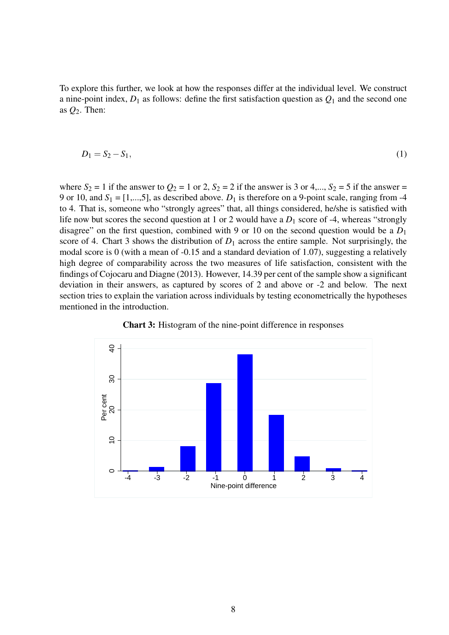To explore this further, we look at how the responses differ at the individual level. We construct a nine-point index,  $D_1$  as follows: define the first satisfaction question as  $Q_1$  and the second one as  $Q_2$ . Then:

$$
D_1 = S_2 - S_1,\tag{1}
$$

where  $S_2 = 1$  if the answer to  $Q_2 = 1$  or 2,  $S_2 = 2$  if the answer is 3 or 4,...,  $S_2 = 5$  if the answer = 9 or 10, and  $S_1 = [1,...,5]$ , as described above.  $D_1$  is therefore on a 9-point scale, ranging from -4 to 4. That is, someone who "strongly agrees" that, all things considered, he/she is satisfied with life now but scores the second question at 1 or 2 would have a  $D_1$  score of -4, whereas "strongly" disagree" on the first question, combined with 9 or 10 on the second question would be a *D*<sup>1</sup> score of 4. Chart 3 shows the distribution of  $D_1$  across the entire sample. Not surprisingly, the modal score is 0 (with a mean of -0.15 and a standard deviation of 1.07), suggesting a relatively high degree of comparability across the two measures of life satisfaction, consistent with the findings of Cojocaru and Diagne (2013). However, 14.39 per cent of the sample show a significant deviation in their answers, as captured by scores of 2 and above or -2 and below. The next section tries to explain the variation across individuals by testing econometrically the hypotheses mentioned in the introduction.



Chart 3: Histogram of the nine-point difference in responses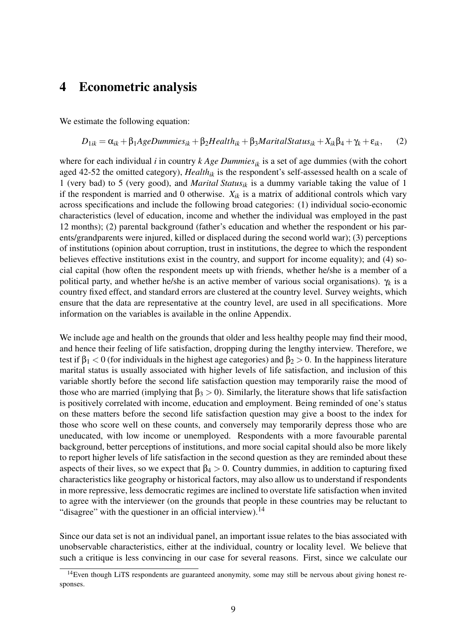# 4 Econometric analysis

We estimate the following equation:

$$
D_{1ik} = \alpha_{ik} + \beta_1 AgeDummies_{ik} + \beta_2Health_{ik} + \beta_3 MaritalStatus_{ik} + X_{ik}\beta_4 + \gamma_k + \varepsilon_{ik},
$$
 (2)

where for each individual *i* in country *k* Age Dummies<sub>*ik*</sub> is a set of age dummies (with the cohort aged 42-52 the omitted category), *Healthik* is the respondent's self-assessed health on a scale of 1 (very bad) to 5 (very good), and *Marital Statusik* is a dummy variable taking the value of 1 if the respondent is married and 0 otherwise.  $X_{ik}$  is a matrix of additional controls which vary across specifications and include the following broad categories: (1) individual socio-economic characteristics (level of education, income and whether the individual was employed in the past 12 months); (2) parental background (father's education and whether the respondent or his parents/grandparents were injured, killed or displaced during the second world war); (3) perceptions of institutions (opinion about corruption, trust in institutions, the degree to which the respondent believes effective institutions exist in the country, and support for income equality); and (4) social capital (how often the respondent meets up with friends, whether he/she is a member of a political party, and whether he/she is an active member of various social organisations).  $\gamma_k$  is a country fixed effect, and standard errors are clustered at the country level. Survey weights, which ensure that the data are representative at the country level, are used in all specifications. More information on the variables is available in the online Appendix.

We include age and health on the grounds that older and less healthy people may find their mood, and hence their feeling of life satisfaction, dropping during the lengthy interview. Therefore, we test if  $\beta_1 < 0$  (for individuals in the highest age categories) and  $\beta_2 > 0$ . In the happiness literature marital status is usually associated with higher levels of life satisfaction, and inclusion of this variable shortly before the second life satisfaction question may temporarily raise the mood of those who are married (implying that  $\beta_3 > 0$ ). Similarly, the literature shows that life satisfaction is positively correlated with income, education and employment. Being reminded of one's status on these matters before the second life satisfaction question may give a boost to the index for those who score well on these counts, and conversely may temporarily depress those who are uneducated, with low income or unemployed. Respondents with a more favourable parental background, better perceptions of institutions, and more social capital should also be more likely to report higher levels of life satisfaction in the second question as they are reminded about these aspects of their lives, so we expect that  $\beta_4 > 0$ . Country dummies, in addition to capturing fixed characteristics like geography or historical factors, may also allow us to understand if respondents in more repressive, less democratic regimes are inclined to overstate life satisfaction when invited to agree with the interviewer (on the grounds that people in these countries may be reluctant to "disagree" with the questioner in an official interview).<sup>14</sup>

Since our data set is not an individual panel, an important issue relates to the bias associated with unobservable characteristics, either at the individual, country or locality level. We believe that such a critique is less convincing in our case for several reasons. First, since we calculate our

<sup>&</sup>lt;sup>14</sup>Even though LiTS respondents are guaranteed anonymity, some may still be nervous about giving honest responses.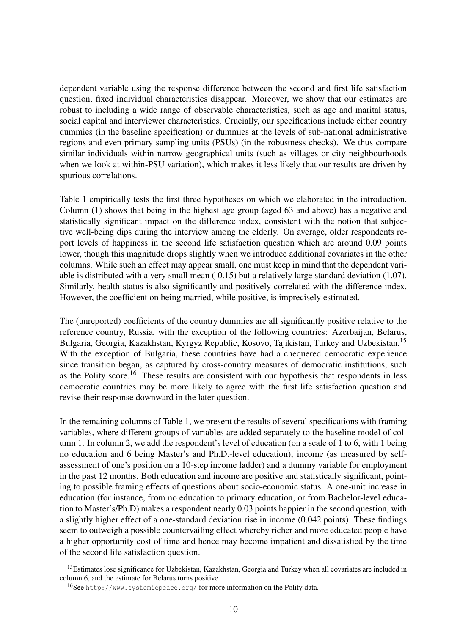dependent variable using the response difference between the second and first life satisfaction question, fixed individual characteristics disappear. Moreover, we show that our estimates are robust to including a wide range of observable characteristics, such as age and marital status, social capital and interviewer characteristics. Crucially, our specifications include either country dummies (in the baseline specification) or dummies at the levels of sub-national administrative regions and even primary sampling units (PSUs) (in the robustness checks). We thus compare similar individuals within narrow geographical units (such as villages or city neighbourhoods when we look at within-PSU variation), which makes it less likely that our results are driven by spurious correlations.

Table 1 empirically tests the first three hypotheses on which we elaborated in the introduction. Column (1) shows that being in the highest age group (aged 63 and above) has a negative and statistically significant impact on the difference index, consistent with the notion that subjective well-being dips during the interview among the elderly. On average, older respondents report levels of happiness in the second life satisfaction question which are around 0.09 points lower, though this magnitude drops slightly when we introduce additional covariates in the other columns. While such an effect may appear small, one must keep in mind that the dependent variable is distributed with a very small mean (-0.15) but a relatively large standard deviation (1.07). Similarly, health status is also significantly and positively correlated with the difference index. However, the coefficient on being married, while positive, is imprecisely estimated.

The (unreported) coefficients of the country dummies are all significantly positive relative to the reference country, Russia, with the exception of the following countries: Azerbaijan, Belarus, Bulgaria, Georgia, Kazakhstan, Kyrgyz Republic, Kosovo, Tajikistan, Turkey and Uzbekistan.<sup>15</sup> With the exception of Bulgaria, these countries have had a chequered democratic experience since transition began, as captured by cross-country measures of democratic institutions, such as the Polity score.<sup>16</sup> These results are consistent with our hypothesis that respondents in less democratic countries may be more likely to agree with the first life satisfaction question and revise their response downward in the later question.

In the remaining columns of Table 1, we present the results of several specifications with framing variables, where different groups of variables are added separately to the baseline model of column 1. In column 2, we add the respondent's level of education (on a scale of 1 to 6, with 1 being no education and 6 being Master's and Ph.D.-level education), income (as measured by selfassessment of one's position on a 10-step income ladder) and a dummy variable for employment in the past 12 months. Both education and income are positive and statistically significant, pointing to possible framing effects of questions about socio-economic status. A one-unit increase in education (for instance, from no education to primary education, or from Bachelor-level education to Master's/Ph.D) makes a respondent nearly 0.03 points happier in the second question, with a slightly higher effect of a one-standard deviation rise in income (0.042 points). These findings seem to outweigh a possible countervailing effect whereby richer and more educated people have a higher opportunity cost of time and hence may become impatient and dissatisfied by the time of the second life satisfaction question.

<sup>&</sup>lt;sup>15</sup>Estimates lose significance for Uzbekistan, Kazakhstan, Georgia and Turkey when all covariates are included in column 6, and the estimate for Belarus turns positive.

<sup>16</sup>See http://www.systemicpeace.org/ for more information on the Polity data.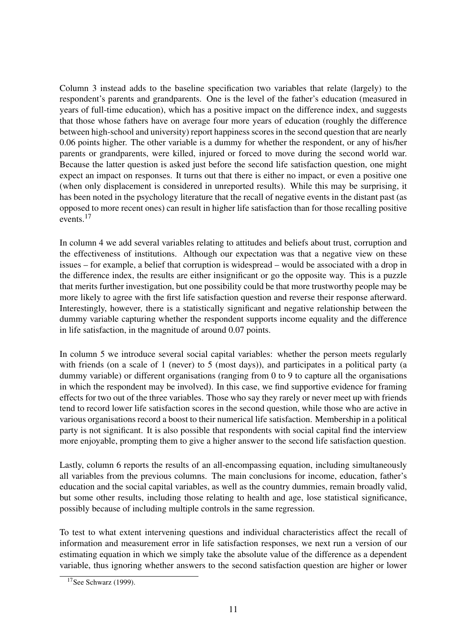Column 3 instead adds to the baseline specification two variables that relate (largely) to the respondent's parents and grandparents. One is the level of the father's education (measured in years of full-time education), which has a positive impact on the difference index, and suggests that those whose fathers have on average four more years of education (roughly the difference between high-school and university) report happiness scores in the second question that are nearly 0.06 points higher. The other variable is a dummy for whether the respondent, or any of his/her parents or grandparents, were killed, injured or forced to move during the second world war. Because the latter question is asked just before the second life satisfaction question, one might expect an impact on responses. It turns out that there is either no impact, or even a positive one (when only displacement is considered in unreported results). While this may be surprising, it has been noted in the psychology literature that the recall of negative events in the distant past (as opposed to more recent ones) can result in higher life satisfaction than for those recalling positive events<sup>17</sup>

In column 4 we add several variables relating to attitudes and beliefs about trust, corruption and the effectiveness of institutions. Although our expectation was that a negative view on these issues – for example, a belief that corruption is widespread – would be associated with a drop in the difference index, the results are either insignificant or go the opposite way. This is a puzzle that merits further investigation, but one possibility could be that more trustworthy people may be more likely to agree with the first life satisfaction question and reverse their response afterward. Interestingly, however, there is a statistically significant and negative relationship between the dummy variable capturing whether the respondent supports income equality and the difference in life satisfaction, in the magnitude of around 0.07 points.

In column 5 we introduce several social capital variables: whether the person meets regularly with friends (on a scale of 1 (never) to 5 (most days)), and participates in a political party (a dummy variable) or different organisations (ranging from 0 to 9 to capture all the organisations in which the respondent may be involved). In this case, we find supportive evidence for framing effects for two out of the three variables. Those who say they rarely or never meet up with friends tend to record lower life satisfaction scores in the second question, while those who are active in various organisations record a boost to their numerical life satisfaction. Membership in a political party is not significant. It is also possible that respondents with social capital find the interview more enjoyable, prompting them to give a higher answer to the second life satisfaction question.

Lastly, column 6 reports the results of an all-encompassing equation, including simultaneously all variables from the previous columns. The main conclusions for income, education, father's education and the social capital variables, as well as the country dummies, remain broadly valid, but some other results, including those relating to health and age, lose statistical significance, possibly because of including multiple controls in the same regression.

To test to what extent intervening questions and individual characteristics affect the recall of information and measurement error in life satisfaction responses, we next run a version of our estimating equation in which we simply take the absolute value of the difference as a dependent variable, thus ignoring whether answers to the second satisfaction question are higher or lower

<sup>&</sup>lt;sup>17</sup>See Schwarz (1999).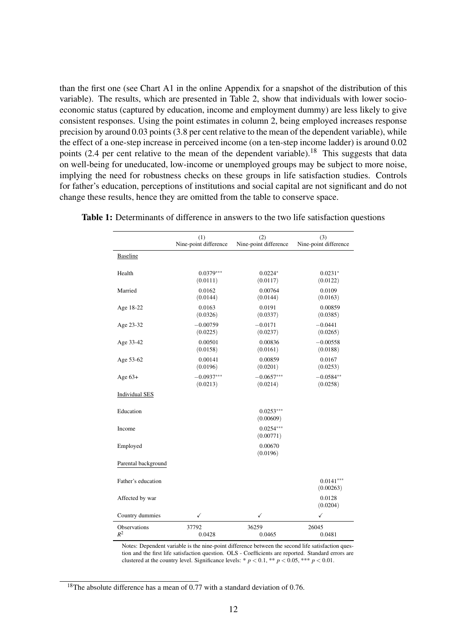than the first one (see Chart A1 in the online Appendix for a snapshot of the distribution of this variable). The results, which are presented in Table 2, show that individuals with lower socioeconomic status (captured by education, income and employment dummy) are less likely to give consistent responses. Using the point estimates in column 2, being employed increases response precision by around 0.03 points (3.8 per cent relative to the mean of the dependent variable), while the effect of a one-step increase in perceived income (on a ten-step income ladder) is around 0.02 points (2.4 per cent relative to the mean of the dependent variable).<sup>18</sup> This suggests that data on well-being for uneducated, low-income or unemployed groups may be subject to more noise, implying the need for robustness checks on these groups in life satisfaction studies. Controls for father's education, perceptions of institutions and social capital are not significant and do not change these results, hence they are omitted from the table to conserve space.

|                       | (1)                   | (2)                      | (3)                      |
|-----------------------|-----------------------|--------------------------|--------------------------|
|                       | Nine-point difference | Nine-point difference    | Nine-point difference    |
| <b>Baseline</b>       |                       |                          |                          |
| Health                | $0.0379***$           | $0.0224*$                | $0.0231*$                |
|                       | (0.0111)              | (0.0117)                 | (0.0122)                 |
| Married               | 0.0162                | 0.00764                  | 0.0109                   |
|                       | (0.0144)              | (0.0144)                 | (0.0163)                 |
| Age 18-22             | 0.0163                | 0.0191                   | 0.00859                  |
|                       | (0.0326)              | (0.0337)                 | (0.0385)                 |
| Age 23-32             | $-0.00759$            | $-0.0171$                | $-0.0441$                |
|                       | (0.0225)              | (0.0237)                 | (0.0265)                 |
| Age 33-42             | 0.00501               | 0.00836                  | $-0.00558$               |
|                       | (0.0158)              | (0.0161)                 | (0.0188)                 |
| Age 53-62             | 0.00141               | 0.00859                  | 0.0167                   |
|                       | (0.0196)              | (0.0201)                 | (0.0253)                 |
| Age $63+$             | $-0.0937***$          | $-0.0657***$             | $-0.0584**$              |
|                       | (0.0213)              | (0.0214)                 | (0.0258)                 |
| <b>Individual SES</b> |                       |                          |                          |
| Education             |                       | $0.0253***$<br>(0.00609) |                          |
| Income                |                       | $0.0254***$<br>(0.00771) |                          |
| Employed              |                       | 0.00670<br>(0.0196)      |                          |
| Parental background   |                       |                          |                          |
| Father's education    |                       |                          | $0.0141***$<br>(0.00263) |
| Affected by war       |                       |                          | 0.0128<br>(0.0204)       |
| Country dummies       | ✓                     | ✓                        | ✓                        |
| <b>Observations</b>   | 37792                 | 36259                    | 26045                    |
| $R^2$                 | 0.0428                | 0.0465                   | 0.0481                   |

Table 1: Determinants of difference in answers to the two life satisfaction questions

Notes: Dependent variable is the nine-point difference between the second life satisfaction question and the first life satisfaction question. OLS - Coefficients are reported. Standard errors are clustered at the country level. Significance levels: \*  $p < 0.1$ , \*\*  $p < 0.05$ , \*\*\*  $p < 0.01$ .

<sup>&</sup>lt;sup>18</sup>The absolute difference has a mean of 0.77 with a standard deviation of 0.76.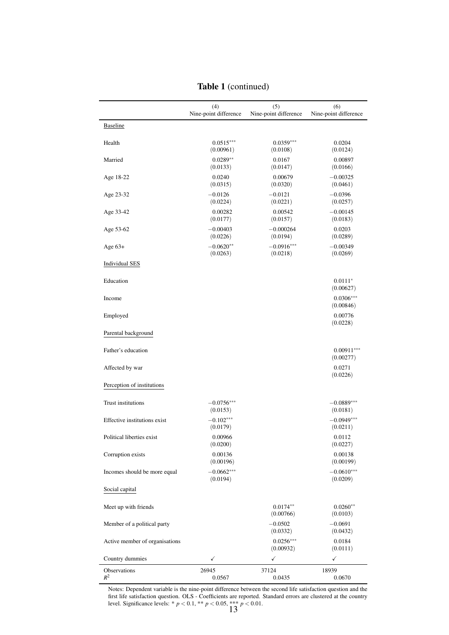|                                | (4)<br>Nine-point difference | (5)<br>Nine-point difference | (6)<br>Nine-point difference |
|--------------------------------|------------------------------|------------------------------|------------------------------|
| <b>Baseline</b>                |                              |                              |                              |
| Health                         | $0.0515***$<br>(0.00961)     | $0.0359***$<br>(0.0108)      | 0.0204<br>(0.0124)           |
| Married                        | $0.0289**$<br>(0.0133)       | 0.0167<br>(0.0147)           | 0.00897<br>(0.0166)          |
| Age 18-22                      | 0.0240<br>(0.0315)           | 0.00679<br>(0.0320)          | $-0.00325$<br>(0.0461)       |
| Age 23-32                      | $-0.0126$<br>(0.0224)        | $-0.0121$<br>(0.0221)        | $-0.0396$<br>(0.0257)        |
| Age 33-42                      | 0.00282<br>(0.0177)          | 0.00542<br>(0.0157)          | $-0.00145$<br>(0.0183)       |
| Age 53-62                      | $-0.00403$<br>(0.0226)       | $-0.000264$<br>(0.0194)      | 0.0203<br>(0.0289)           |
| Age $63+$                      | $-0.0620**$<br>(0.0263)      | $-0.0916***$<br>(0.0218)     | $-0.00349$<br>(0.0269)       |
| <b>Individual SES</b>          |                              |                              |                              |
| Education                      |                              |                              | $0.0111*$<br>(0.00627)       |
| Income                         |                              |                              | $0.0306***$<br>(0.00846)     |
| Employed                       |                              |                              | 0.00776<br>(0.0228)          |
| Parental background            |                              |                              |                              |
| Father's education             |                              |                              | $0.00911***$<br>(0.00277)    |
| Affected by war                |                              |                              | 0.0271<br>(0.0226)           |
| Perception of institutions     |                              |                              |                              |
| Trust institutions             | $-0.0756***$<br>(0.0153)     |                              | $-0.0889***$<br>(0.0181)     |
| Effective institutions exist   | $-0.102***$<br>(0.0179)      |                              | $-0.0949***$<br>(0.0211)     |
| Political liberties exist      | 0.00966<br>(0.0200)          |                              | 0.0112<br>(0.0227)           |
| Corruption exists              | 0.00136<br>(0.00196)         |                              | 0.00138<br>(0.00199)         |
| Incomes should be more equal   | $-0.0662***$<br>(0.0194)     |                              | $-0.0610***$<br>(0.0209)     |
| Social capital                 |                              |                              |                              |
| Meet up with friends           |                              | $0.0174**$<br>(0.00766)      | $0.0260**$<br>(0.0103)       |
| Member of a political party    |                              | $-0.0502$<br>(0.0332)        | $-0.0691$<br>(0.0432)        |
| Active member of organisations |                              | $0.0256***$<br>(0.00932)     | 0.0184<br>(0.0111)           |
| Country dummies                | ✓                            | $\checkmark$                 | ✓                            |
| Observations<br>$R^2$          | 26945<br>0.0567              | 37124<br>0.0435              | 18939<br>0.0670              |

Table 1 (continued)

l,

Notes: Dependent variable is the nine-point difference between the second life satisfaction question and the first life satisfaction question. OLS - Coefficients are reported. Standard errors are clustered at the country level. Significance levels: \*  $p < 0.1$ , \*\*  $p < 0.05$ , \*\*\*  $p < 0.01$ .<br>
13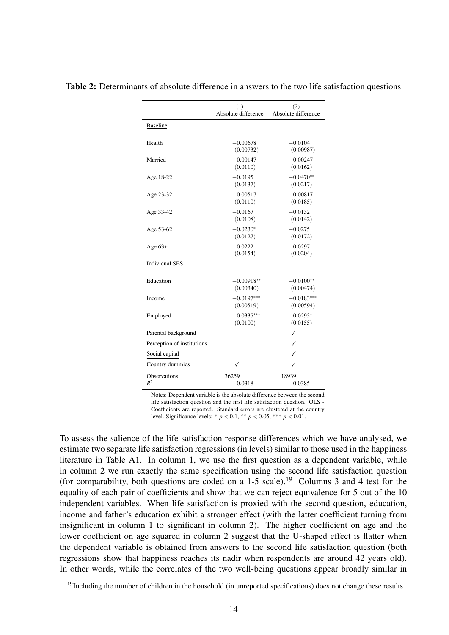|                            | (1)<br>Absolute difference | (2)<br>Absolute difference |
|----------------------------|----------------------------|----------------------------|
|                            |                            |                            |
| <b>Baseline</b>            |                            |                            |
| Health                     | $-0.00678$                 | $-0.0104$                  |
|                            | (0.00732)                  | (0.00987)                  |
| Married                    | 0.00147                    | 0.00247                    |
|                            | (0.0110)                   | (0.0162)                   |
| Age 18-22                  | $-0.0195$                  | $-0.0470**$                |
|                            | (0.0137)                   | (0.0217)                   |
| Age 23-32                  | $-0.00517$                 | $-0.00817$                 |
|                            | (0.0110)                   | (0.0185)                   |
| Age 33-42                  | $-0.0167$<br>(0.0108)      | $-0.0132$<br>(0.0142)      |
|                            |                            |                            |
| Age 53-62                  | $-0.0230*$<br>(0.0127)     | $-0.0275$<br>(0.0172)      |
| Age $63+$                  | $-0.0222$                  | $-0.0297$                  |
|                            | (0.0154)                   | (0.0204)                   |
| <b>Individual SES</b>      |                            |                            |
|                            |                            |                            |
| Education                  | $-0.00918**$               | $-0.0100**$                |
|                            | (0.00340)                  | (0.00474)                  |
| Income                     | $-0.0197***$               | $-0.0183***$               |
|                            | (0.00519)                  | (0.00594)                  |
| Employed                   | $-0.0335***$               | $-0.0293*$                 |
|                            | (0.0100)                   | (0.0155)                   |
| Parental background        |                            | ✓                          |
| Perception of institutions |                            | ✓                          |
| Social capital             |                            | ✓                          |
| Country dummies            |                            | ✓                          |
| <b>Observations</b>        | 36259                      | 18939                      |
| $R^2$                      | 0.0318                     | 0.0385                     |

Table 2: Determinants of absolute difference in answers to the two life satisfaction questions

Notes: Dependent variable is the absolute difference between the second life satisfaction question and the first life satisfaction question. OLS - Coefficients are reported. Standard errors are clustered at the country level. Significance levels: \* *p* < 0.1, \*\* *p* < 0.05, \*\*\* *p* < 0.01.

To assess the salience of the life satisfaction response differences which we have analysed, we estimate two separate life satisfaction regressions (in levels) similar to those used in the happiness literature in Table A1. In column 1, we use the first question as a dependent variable, while in column 2 we run exactly the same specification using the second life satisfaction question (for comparability, both questions are coded on a 1-5 scale).<sup>19</sup> Columns 3 and 4 test for the equality of each pair of coefficients and show that we can reject equivalence for 5 out of the 10 independent variables. When life satisfaction is proxied with the second question, education, income and father's education exhibit a stronger effect (with the latter coefficient turning from insignificant in column 1 to significant in column 2). The higher coefficient on age and the lower coefficient on age squared in column 2 suggest that the U-shaped effect is flatter when the dependent variable is obtained from answers to the second life satisfaction question (both regressions show that happiness reaches its nadir when respondents are around 42 years old). In other words, while the correlates of the two well-being questions appear broadly similar in

<sup>&</sup>lt;sup>19</sup>Including the number of children in the household (in unreported specifications) does not change these results.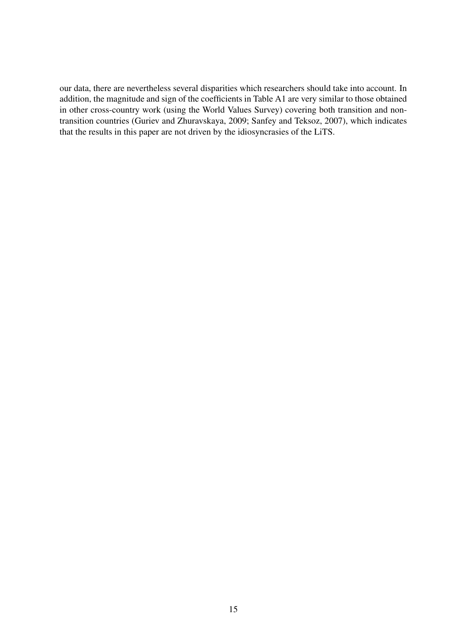our data, there are nevertheless several disparities which researchers should take into account. In addition, the magnitude and sign of the coefficients in Table A1 are very similar to those obtained in other cross-country work (using the World Values Survey) covering both transition and nontransition countries (Guriev and Zhuravskaya, 2009; Sanfey and Teksoz, 2007), which indicates that the results in this paper are not driven by the idiosyncrasies of the LiTS.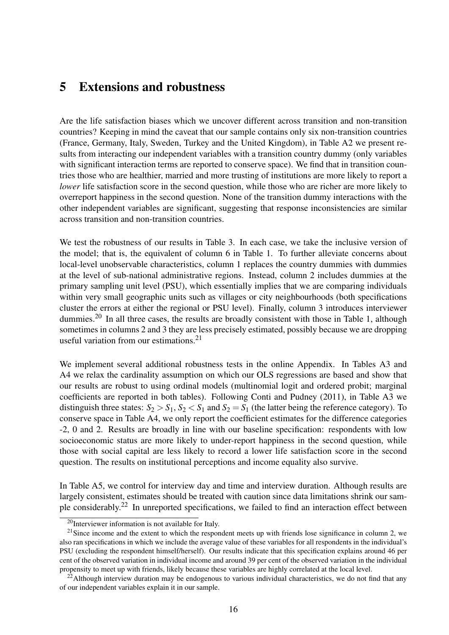# 5 Extensions and robustness

Are the life satisfaction biases which we uncover different across transition and non-transition countries? Keeping in mind the caveat that our sample contains only six non-transition countries (France, Germany, Italy, Sweden, Turkey and the United Kingdom), in Table A2 we present results from interacting our independent variables with a transition country dummy (only variables with significant interaction terms are reported to conserve space). We find that in transition countries those who are healthier, married and more trusting of institutions are more likely to report a *lower* life satisfaction score in the second question, while those who are richer are more likely to overreport happiness in the second question. None of the transition dummy interactions with the other independent variables are significant, suggesting that response inconsistencies are similar across transition and non-transition countries.

We test the robustness of our results in Table 3. In each case, we take the inclusive version of the model; that is, the equivalent of column 6 in Table 1. To further alleviate concerns about local-level unobservable characteristics, column 1 replaces the country dummies with dummies at the level of sub-national administrative regions. Instead, column 2 includes dummies at the primary sampling unit level (PSU), which essentially implies that we are comparing individuals within very small geographic units such as villages or city neighbourhoods (both specifications cluster the errors at either the regional or PSU level). Finally, column 3 introduces interviewer dummies.<sup>20</sup> In all three cases, the results are broadly consistent with those in Table 1, although sometimes in columns 2 and 3 they are less precisely estimated, possibly because we are dropping useful variation from our estimations.<sup>21</sup>

We implement several additional robustness tests in the online Appendix. In Tables A3 and A4 we relax the cardinality assumption on which our OLS regressions are based and show that our results are robust to using ordinal models (multinomial logit and ordered probit; marginal coefficients are reported in both tables). Following Conti and Pudney (2011), in Table A3 we distinguish three states:  $S_2 > S_1$ ,  $S_2 < S_1$  and  $S_2 = S_1$  (the latter being the reference category). To conserve space in Table A4, we only report the coefficient estimates for the difference categories -2, 0 and 2. Results are broadly in line with our baseline specification: respondents with low socioeconomic status are more likely to under-report happiness in the second question, while those with social capital are less likely to record a lower life satisfaction score in the second question. The results on institutional perceptions and income equality also survive.

In Table A5, we control for interview day and time and interview duration. Although results are largely consistent, estimates should be treated with caution since data limitations shrink our sample considerably.<sup>22</sup> In unreported specifications, we failed to find an interaction effect between

<sup>20</sup>Interviewer information is not available for Italy.

<sup>&</sup>lt;sup>21</sup>Since income and the extent to which the respondent meets up with friends lose significance in column 2, we also ran specifications in which we include the average value of these variables for all respondents in the individual's PSU (excluding the respondent himself/herself). Our results indicate that this specification explains around 46 per cent of the observed variation in individual income and around 39 per cent of the observed variation in the individual propensity to meet up with friends, likely because these variables are highly correlated at the local level.

<sup>&</sup>lt;sup>22</sup>Although interview duration may be endogenous to various individual characteristics, we do not find that any of our independent variables explain it in our sample.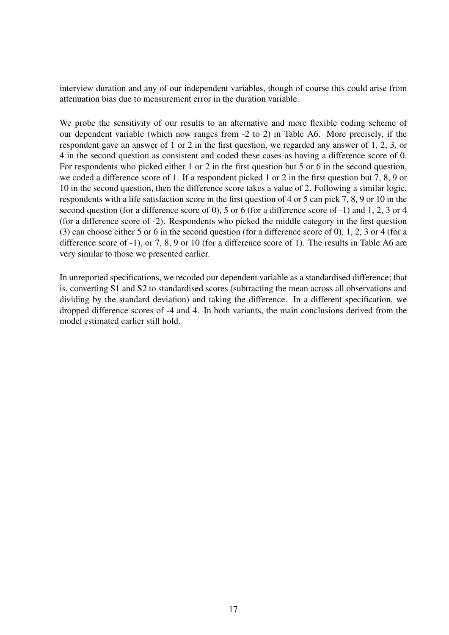interview duration and any of our independent variables, though of course this could arise from attenuation bias due to measurement error in the duration variable.

We probe the sensitivity of our results to an alternative and more flexible coding scheme of our dependent variable (which now ranges from -2 to 2) in Table A6. More precisely, if the respondent gave an answer of 1 or 2 in the first question, we regarded any answer of 1, 2, 3, or 4 in the second question as consistent and coded these cases as having a difference score of 0. For respondents who picked either 1 or 2 in the first question but 5 or 6 in the second question, we coded a difference score of 1. If a respondent picked 1 or 2 in the first question but 7, 8, 9 or 10 in the second question, then the difference score takes a value of 2. Following a similar logic, respondents with a life satisfaction score in the first question of 4 or 5 can pick 7, 8, 9 or 10 in the second question (for a difference score of 0), 5 or 6 (for a difference score of -1) and 1, 2, 3 or 4 (for a difference score of -2). Respondents who picked the middle category in the first question (3) can choose either 5 or 6 in the second question (for a difference score of 0), 1, 2, 3 or 4 (for a difference score of -1), or 7, 8, 9 or 10 (for a difference score of 1). The results in Table A6 are very similar to those we presented earlier.

In unreported specifications, we recoded our dependent variable as a standardised difference; that is, converting S1 and S2 to standardised scores (subtracting the mean across all observations and dividing by the standard deviation) and taking the difference. In a different specification, we dropped difference scores of -4 and 4. In both variants, the main conclusions derived from the model estimated earlier still hold.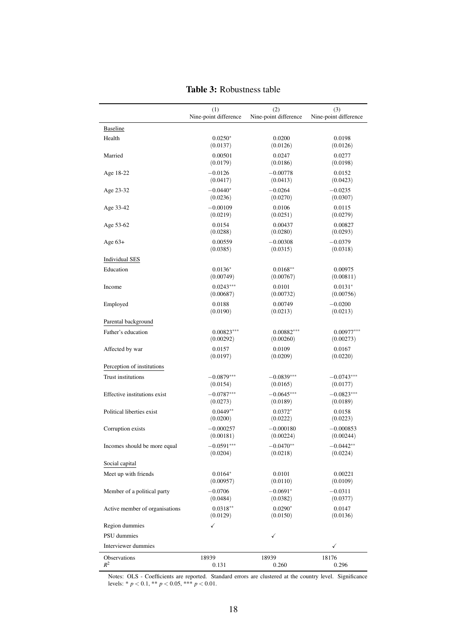|                                | (1)                   | (2)                   | (3)                   |
|--------------------------------|-----------------------|-----------------------|-----------------------|
|                                | Nine-point difference | Nine-point difference | Nine-point difference |
| <b>Baseline</b>                |                       |                       |                       |
| Health                         | $0.0250*$             | 0.0200                | 0.0198                |
|                                | (0.0137)              | (0.0126)              | (0.0126)              |
| Married                        | 0.00501               | 0.0247                | 0.0277                |
|                                | (0.0179)              | (0.0186)              | (0.0198)              |
| Age 18-22                      | $-0.0126$             | $-0.00778$            | 0.0152                |
|                                | (0.0417)              | (0.0413)              | (0.0423)              |
| Age 23-32                      | $-0.0440*$            | $-0.0264$             | $-0.0235$             |
|                                | (0.0236)              | (0.0270)              | (0.0307)              |
| Age 33-42                      | $-0.00109$            | 0.0106                | 0.0115                |
|                                | (0.0219)              | (0.0251)              | (0.0279)              |
| Age 53-62                      | 0.0154                | 0.00437               | 0.00827               |
|                                | (0.0288)              | (0.0280)              | (0.0293)              |
| Age $63+$                      | 0.00559               | $-0.00308$            | $-0.0379$             |
|                                | (0.0385)              | (0.0315)              | (0.0318)              |
| <b>Individual SES</b>          |                       |                       |                       |
| Education                      | $0.0136*$             | $0.0168**$            | 0.00975               |
|                                | (0.00749)             | (0.00767)             | (0.00811)             |
| Income                         | $0.0243***$           | 0.0101                | $0.0131*$             |
|                                | (0.00687)             | (0.00732)             | (0.00756)             |
| Employed                       | 0.0188                | 0.00749               | $-0.0200$             |
|                                | (0.0190)              | (0.0213)              | (0.0213)              |
| Parental background            |                       |                       |                       |
| Father's education             | $0.00823***$          | $0.00882***$          | $0.00977***$          |
|                                | (0.00292)             | (0.00260)             | (0.00273)             |
| Affected by war                | 0.0157                | 0.0109                | 0.0167                |
|                                | (0.0197)              | (0.0209)              | (0.0220)              |
| Perception of institutions     |                       |                       |                       |
| Trust institutions             | $-0.0879***$          | $-0.0839***$          | $-0.0743***$          |
|                                | (0.0154)              | (0.0165)              | (0.0177)              |
| Effective institutions exist   | $-0.0787***$          | $-0.0645***$          | $-0.0823***$          |
|                                | (0.0273)              | (0.0189)              | (0.0189)              |
| Political liberties exist      | $0.0449**$            | $0.0372*$             | 0.0158                |
|                                | (0.0200)              | (0.0222)              | (0.0223)              |
| Corruption exists              | $-0.000257$           | $-0.000180$           | $-0.000853$           |
|                                | (0.00181)             | (0.00224)             | (0.00244)             |
| Incomes should be more equal   | $-0.0591***$          | $-0.0470**$           | $-0.0442**$           |
|                                | (0.0204)              | (0.0218)              | (0.0224)              |
| Social capital                 |                       |                       |                       |
| Meet up with friends           | $0.0164*$             | 0.0101                | 0.00221               |
|                                | (0.00957)             | (0.0110)              | (0.0109)              |
| Member of a political party    | $-0.0706$             | $-0.0691*$            | $-0.0311$             |
|                                | (0.0484)              | (0.0382)              | (0.0377)              |
| Active member of organisations | $0.0318**$            | $0.0290*$             | 0.0147                |
|                                | (0.0129)              | (0.0150)              | (0.0136)              |
| Region dummies                 | ✓                     |                       |                       |
| <b>PSU</b> dummies             |                       | ✓                     |                       |
| Interviewer dummies            |                       |                       | ✓                     |
| Observations                   | 18939                 | 18939                 | 18176                 |
| $R^2$                          | 0.131                 | 0.260                 | 0.296                 |

Notes: OLS - Coefficients are reported. Standard errors are clustered at the country level. Significance levels: \* *p* < 0.1, \*\* *p* < 0.05, \*\*\* *p* < 0.01.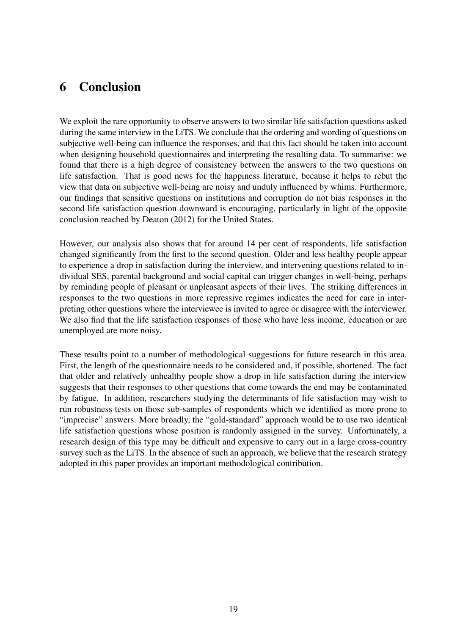# 6 Conclusion

We exploit the rare opportunity to observe answers to two similar life satisfaction questions asked during the same interview in the LiTS. We conclude that the ordering and wording of questions on subjective well-being can influence the responses, and that this fact should be taken into account when designing household questionnaires and interpreting the resulting data. To summarise: we found that there is a high degree of consistency between the answers to the two questions on life satisfaction. That is good news for the happiness literature, because it helps to rebut the view that data on subjective well-being are noisy and unduly influenced by whims. Furthermore, our findings that sensitive questions on institutions and corruption do not bias responses in the second life satisfaction question downward is encouraging, particularly in light of the opposite conclusion reached by Deaton (2012) for the United States.

However, our analysis also shows that for around 14 per cent of respondents, life satisfaction changed significantly from the first to the second question. Older and less healthy people appear to experience a drop in satisfaction during the interview, and intervening questions related to individual SES, parental background and social capital can trigger changes in well-being, perhaps by reminding people of pleasant or unpleasant aspects of their lives. The striking differences in responses to the two questions in more repressive regimes indicates the need for care in interpreting other questions where the interviewee is invited to agree or disagree with the interviewer. We also find that the life satisfaction responses of those who have less income, education or are unemployed are more noisy.

These results point to a number of methodological suggestions for future research in this area. First, the length of the questionnaire needs to be considered and, if possible, shortened. The fact that older and relatively unhealthy people show a drop in life satisfaction during the interview suggests that their responses to other questions that come towards the end may be contaminated by fatigue. In addition, researchers studying the determinants of life satisfaction may wish to run robustness tests on those sub-samples of respondents which we identified as more prone to "imprecise" answers. More broadly, the "gold-standard" approach would be to use two identical life satisfaction questions whose position is randomly assigned in the survey. Unfortunately, a research design of this type may be difficult and expensive to carry out in a large cross-country survey such as the LiTS. In the absence of such an approach, we believe that the research strategy adopted in this paper provides an important methodological contribution.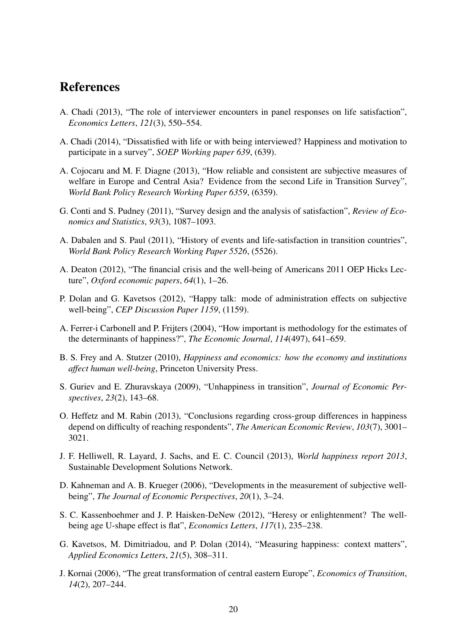# **References**

- A. Chadi (2013), "The role of interviewer encounters in panel responses on life satisfaction", *Economics Letters*, *121*(3), 550–554.
- A. Chadi (2014), "Dissatisfied with life or with being interviewed? Happiness and motivation to participate in a survey", *SOEP Working paper 639*, (639).
- A. Cojocaru and M. F. Diagne (2013), "How reliable and consistent are subjective measures of welfare in Europe and Central Asia? Evidence from the second Life in Transition Survey", *World Bank Policy Research Working Paper 6359*, (6359).
- G. Conti and S. Pudney (2011), "Survey design and the analysis of satisfaction", *Review of Economics and Statistics*, *93*(3), 1087–1093.
- A. Dabalen and S. Paul (2011), "History of events and life-satisfaction in transition countries", *World Bank Policy Research Working Paper 5526*, (5526).
- A. Deaton (2012), "The financial crisis and the well-being of Americans 2011 OEP Hicks Lecture", *Oxford economic papers*, *64*(1), 1–26.
- P. Dolan and G. Kavetsos (2012), "Happy talk: mode of administration effects on subjective well-being", *CEP Discussion Paper 1159*, (1159).
- A. Ferrer-i Carbonell and P. Frijters (2004), "How important is methodology for the estimates of the determinants of happiness?", *The Economic Journal*, *114*(497), 641–659.
- B. S. Frey and A. Stutzer (2010), *Happiness and economics: how the economy and institutions affect human well-being*, Princeton University Press.
- S. Guriev and E. Zhuravskaya (2009), "Unhappiness in transition", *Journal of Economic Perspectives*, *23*(2), 143–68.
- O. Heffetz and M. Rabin (2013), "Conclusions regarding cross-group differences in happiness depend on difficulty of reaching respondents", *The American Economic Review*, *103*(7), 3001– 3021.
- J. F. Helliwell, R. Layard, J. Sachs, and E. C. Council (2013), *World happiness report 2013*, Sustainable Development Solutions Network.
- D. Kahneman and A. B. Krueger (2006), "Developments in the measurement of subjective wellbeing", *The Journal of Economic Perspectives*, *20*(1), 3–24.
- S. C. Kassenboehmer and J. P. Haisken-DeNew (2012), "Heresy or enlightenment? The wellbeing age U-shape effect is flat", *Economics Letters*, *117*(1), 235–238.
- G. Kavetsos, M. Dimitriadou, and P. Dolan (2014), "Measuring happiness: context matters", *Applied Economics Letters*, *21*(5), 308–311.
- J. Kornai (2006), "The great transformation of central eastern Europe", *Economics of Transition*, *14*(2), 207–244.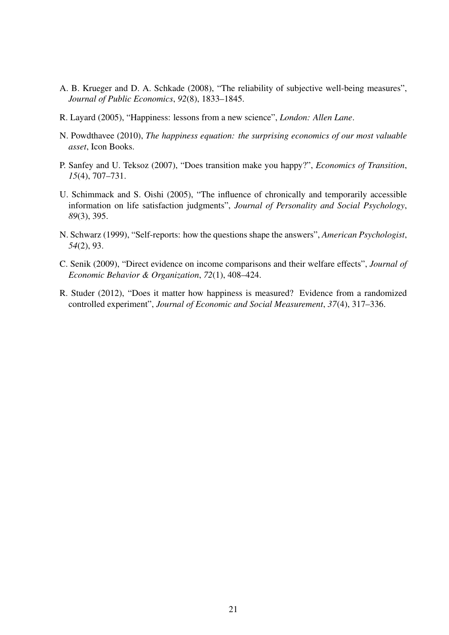- A. B. Krueger and D. A. Schkade (2008), "The reliability of subjective well-being measures", *Journal of Public Economics*, *92*(8), 1833–1845.
- R. Layard (2005), "Happiness: lessons from a new science", *London: Allen Lane*.
- N. Powdthavee (2010), *The happiness equation: the surprising economics of our most valuable asset*, Icon Books.
- P. Sanfey and U. Teksoz (2007), "Does transition make you happy?", *Economics of Transition*, *15*(4), 707–731.
- U. Schimmack and S. Oishi (2005), "The influence of chronically and temporarily accessible information on life satisfaction judgments", *Journal of Personality and Social Psychology*, *89*(3), 395.
- N. Schwarz (1999), "Self-reports: how the questions shape the answers", *American Psychologist*, *54*(2), 93.
- C. Senik (2009), "Direct evidence on income comparisons and their welfare effects", *Journal of Economic Behavior & Organization*, *72*(1), 408–424.
- R. Studer (2012), "Does it matter how happiness is measured? Evidence from a randomized controlled experiment", *Journal of Economic and Social Measurement*, *37*(4), 317–336.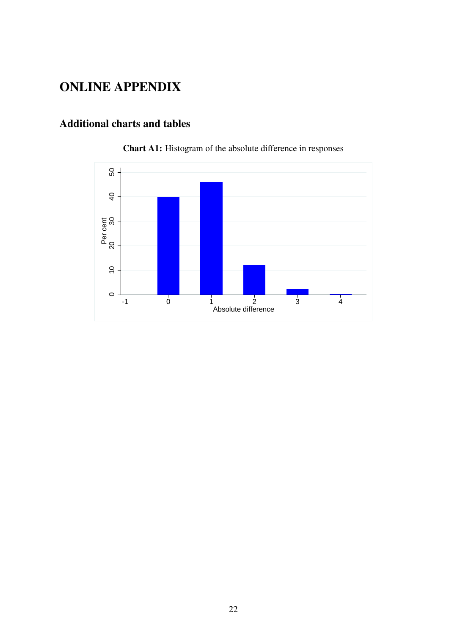# ONLINE APPENDIX

# Additional charts and tables



Chart A1: Histogram of the absolute difference in responses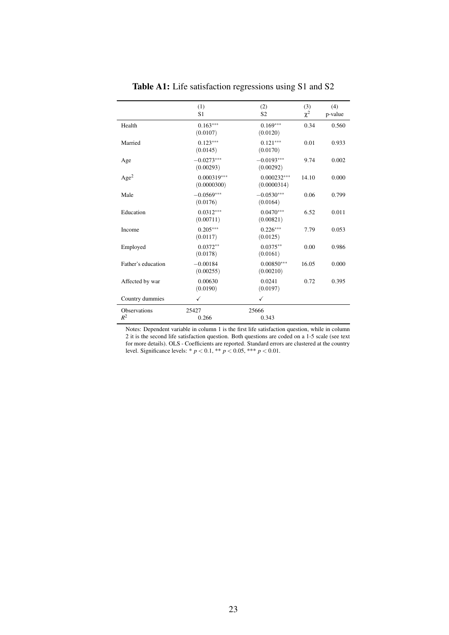|                       | (1)<br>S <sub>1</sub>        | (2)<br>S <sub>2</sub>        | (3)<br>$\chi^2$ | (4)<br>p-value |
|-----------------------|------------------------------|------------------------------|-----------------|----------------|
| Health                | $0.163***$<br>(0.0107)       | $0.169***$<br>(0.0120)       | 0.34            | 0.560          |
| Married               | $0.123***$<br>(0.0145)       | $0.121***$<br>(0.0170)       | 0.01            | 0.933          |
| Age                   | $-0.0273***$<br>(0.00293)    | $-0.0193***$<br>(0.00292)    | 9.74            | 0.002          |
| Age <sup>2</sup>      | $0.000319***$<br>(0.0000300) | $0.000232***$<br>(0.0000314) | 14.10           | 0.000          |
| Male                  | $-0.0569***$<br>(0.0176)     | $-0.0530***$<br>(0.0164)     | 0.06            | 0.799          |
| Education             | $0.0312***$<br>(0.00711)     | $0.0470***$<br>(0.00821)     | 6.52            | 0.011          |
| Income                | $0.205***$<br>(0.0117)       | $0.226***$<br>(0.0125)       | 7.79            | 0.053          |
| Employed              | $0.0372**$<br>(0.0178)       | $0.0375**$<br>(0.0161)       | 0.00            | 0.986          |
| Father's education    | $-0.00184$<br>(0.00255)      | $0.00850***$<br>(0.00210)    | 16.05           | 0.000          |
| Affected by war       | 0.00630<br>(0.0190)          | 0.0241<br>(0.0197)           | 0.72            | 0.395          |
| Country dummies       | ✓                            | $\checkmark$                 |                 |                |
| Observations<br>$R^2$ | 25427<br>0.266               | 25666<br>0.343               |                 |                |

Table A1: Life satisfaction regressions using S1 and S2

Notes: Dependent variable in column 1 is the first life satisfaction question, while in column 2 it is the second life satisfaction question. Both questions are coded on a 1-5 scale (see text for more details). OLS - Coefficients are reported. Standard errors are clustered at the country level. Significance levels: \* *p* < 0.1, \*\* *p* < 0.05, \*\*\* *p* < 0.01.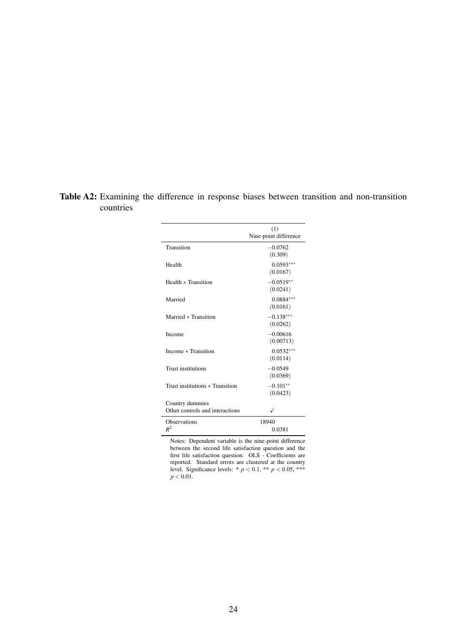|                                                    | (1)<br>Nine-point difference |
|----------------------------------------------------|------------------------------|
| Transition                                         | $-0.0762$<br>(0.309)         |
| Health                                             | $0.0593***$<br>(0.0167)      |
| Health * Transition                                | $-0.0519**$<br>(0.0241)      |
| Married                                            | $0.0884***$<br>(0.0161)      |
| Married * Transition                               | $-0.138***$<br>(0.0262)      |
| Income                                             | $-0.00616$<br>(0.00713)      |
| Income * Transition                                | $0.0532***$<br>(0.0114)      |
| <b>Trust institutions</b>                          | $-0.0549$<br>(0.0369)        |
| Trust institutions * Transition                    | $-0.101**$<br>(0.0423)       |
| Country dummies<br>Other controls and interactions |                              |
| Observations<br>$R^2$                              | 18940<br>0.0381              |

#### Table A2: Examining the difference in response biases between transition and non-transition countries

Notes: Dependent variable is the nine-point difference between the second life satisfaction question and the first life satisfaction question. OLS - Coefficients are reported. Standard errors are clustered at the country level. Significance levels: \*  $p < 0.1$ , \*\*  $p < 0.05$ , \*\*\*  $p < 0.01$ .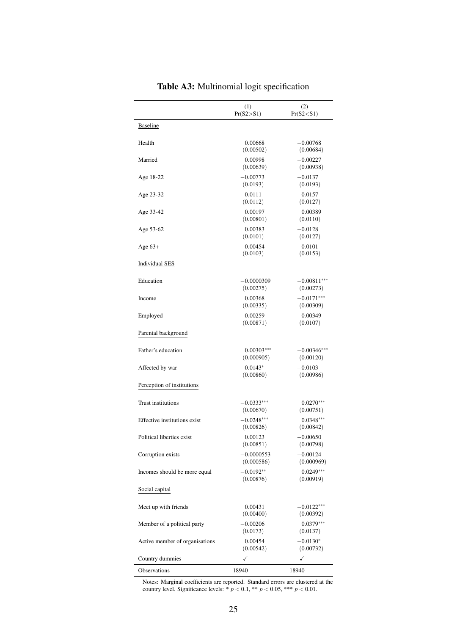|                                | (1)<br>Pr(S2 > S1)         | (2)<br>Pr(S2 < S1)            |  |  |
|--------------------------------|----------------------------|-------------------------------|--|--|
| <b>Baseline</b>                |                            |                               |  |  |
| Health                         | 0.00668<br>(0.00502)       | $-0.00768$<br>(0.00684)       |  |  |
| Married                        | 0.00998<br>(0.00639)       | $-0.00227$<br>(0.00938)       |  |  |
| Age 18-22                      | $-0.00773$<br>(0.0193)     | $-0.0137$<br>(0.0193)         |  |  |
| Age 23-32                      | $-0.0111$<br>(0.0112)      | 0.0157<br>(0.0127)            |  |  |
| Age 33-42                      | 0.00197<br>(0.00801)       | 0.00389<br>(0.0110)           |  |  |
| Age 53-62                      | 0.00383<br>(0.0101)        | $-0.0128$<br>(0.0127)         |  |  |
| Age $63+$                      | $-0.00454$<br>(0.0103)     | 0.0101<br>(0.0153)            |  |  |
| <b>Individual SES</b>          |                            |                               |  |  |
| Education                      | $-0.0000309$<br>(0.00275)  | $-0.00811***$<br>(0.00273)    |  |  |
| Income                         | 0.00368<br>(0.00335)       | $-0.0171***$<br>(0.00309)     |  |  |
| Employed                       | $-0.00259$<br>(0.00871)    | $-0.00349$<br>(0.0107)        |  |  |
| Parental background            |                            |                               |  |  |
| Father's education             | $0.00303***$<br>(0.000905) | $-0.00346^{***}$<br>(0.00120) |  |  |
| Affected by war                | $0.0143*$<br>(0.00860)     | $-0.0103$<br>(0.00986)        |  |  |
| Perception of institutions     |                            |                               |  |  |
| Trust institutions             | $-0.0333***$<br>(0.00670)  | $0.0270***$<br>(0.00751)      |  |  |
| Effective institutions exist   | $-0.0248***$<br>(0.00826)  | $0.0348***$<br>(0.00842)      |  |  |
| Political liberties exist      | 0.00123<br>(0.00851)       | $-0.00650$<br>(0.00798)       |  |  |
| Corruption exists              | $-0.0000553$<br>(0.000586) | $-0.00124$<br>(0.000969)      |  |  |
| Incomes should be more equal   | $-0.0192**$<br>(0.00876)   | $0.0249***$<br>(0.00919)      |  |  |
| Social capital                 |                            |                               |  |  |
| Meet up with friends           | 0.00431<br>(0.00400)       | $-0.0122***$<br>(0.00392)     |  |  |
| Member of a political party    | $-0.00206$<br>(0.0173)     | $0.0379***$<br>(0.0137)       |  |  |
| Active member of organisations | 0.00454<br>(0.00542)       | $-0.0130*$<br>(0.00732)       |  |  |
| Country dummies                | ✓                          | ✓                             |  |  |
| Observations                   | 18940                      | 18940                         |  |  |

Table A3: Multinomial logit specification

Notes: Marginal coefficients are reported. Standard errors are clustered at the country level. Significance levels: \*  $p < 0.1$ , \*\*  $p < 0.05$ , \*\*\*  $p < 0.01$ .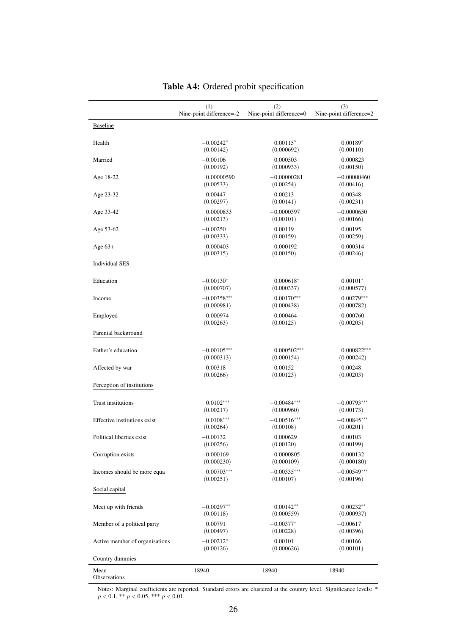|                                | (1)                      | (2)                     | (3)                     |
|--------------------------------|--------------------------|-------------------------|-------------------------|
|                                | Nine-point difference=-2 | Nine-point difference=0 | Nine-point difference=2 |
| <b>Baseline</b>                |                          |                         |                         |
| Health                         | $-0.00242*$              | $0.00115*$              | $0.00189*$              |
|                                | (0.00142)                | (0.000692)              | (0.00110)               |
| Married                        | $-0.00106$               | 0.000503                | 0.000823                |
|                                | (0.00192)                | (0.000933)              | (0.00150)               |
| Age 18-22                      | 0.00000590               | $-0.00000281$           | $-0.00000460$           |
|                                | (0.00533)                | (0.00254)               | (0.00416)               |
| Age 23-32                      | 0.00447                  | $-0.00213$              | $-0.00348$              |
|                                | (0.00297)                | (0.00141)               | (0.00231)               |
| Age 33-42                      | 0.0000833                | $-0.0000397$            | $-0.0000650$            |
|                                | (0.00213)                | (0.00101)               | (0.00166)               |
| Age 53-62                      | $-0.00250$               | 0.00119                 | 0.00195                 |
|                                | (0.00333)                | (0.00159)               | (0.00259)               |
| Age $63+$                      | 0.000403                 | $-0.000192$             | $-0.000314$             |
|                                | (0.00315)                | (0.00150)               | (0.00246)               |
| <b>Individual SES</b>          |                          |                         |                         |
| Education                      | $-0.00130*$              | $0.000618*$             | $0.00101*$              |
|                                | (0.000707)               | (0.000337)              | (0.000577)              |
| Income                         | $-0.00358***$            | $0.00170***$            | $0.00279***$            |
|                                | (0.000981)               | (0.000438)              | (0.000782)              |
| Employed                       | $-0.000974$              | 0.000464                | 0.000760                |
|                                | (0.00263)                | (0.00125)               | (0.00205)               |
| Parental background            |                          |                         |                         |
| Father's education             | $-0.00105***$            | $0.000502***$           | $0.000822***$           |
|                                | (0.000313)               | (0.000154)              | (0.000242)              |
| Affected by war                | $-0.00318$               | 0.00152                 | 0.00248                 |
|                                | (0.00266)                | (0.00123)               | (0.00203)               |
| Perception of institutions     |                          |                         |                         |
| Trust institutions             | $0.0102***$              | $-0.00484***$           | $-0.00793***$           |
|                                | (0.00217)                | (0.000960)              | (0.00173)               |
| Effective institutions exist   | $0.0108***$              | $-0.00516***$           | $-0.00845***$           |
|                                | (0.00264)                | (0.00108)               | (0.00201)               |
| Political liberties exist      | $-0.00132$               | 0.000629                | 0.00103                 |
|                                | (0.00256)                | (0.00120)               | (0.00199)               |
| Corruption exists              | $-0.000169$              | 0.0000805               | 0.000132                |
|                                | (0.000230)               | (0.000109)              | (0.000180)              |
| Incomes should be more equa    | $0.00703***$             | $-0.00335***$           | $-0.00549***$           |
|                                | (0.00251)                | (0.00107)               | (0.00196)               |
| Social capital                 |                          |                         |                         |
| Meet up with friends           | $-0.00297**$             | $0.00142**$             | $0.00232**$             |
|                                | (0.00118)                | (0.000559)              | (0.000937)              |
| Member of a political party    | 0.00791                  | $-0.00377*$             | $-0.00617$              |
|                                | (0.00497)                | (0.00228)               | (0.00396)               |
| Active member of organisations | $-0.00212*$              | 0.00101                 | 0.00166                 |
|                                | (0.00126)                | (0.000626)              | (0.00101)               |
| Country dummies                |                          |                         |                         |
| Mean<br>Observations           | 18940                    | 18940                   | 18940                   |

### Table A4: Ordered probit specification

Notes: Marginal coefficients are reported. Standard errors are clustered at the country level. Significance levels: \* *p* < 0.1, \*\* *p* < 0.05, \*\*\* *p* < 0.01.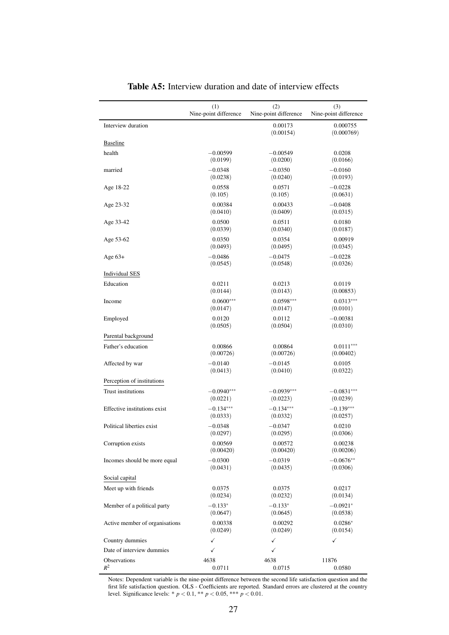|                                | (1)                   | (2)                   | (3)                    |
|--------------------------------|-----------------------|-----------------------|------------------------|
|                                | Nine-point difference | Nine-point difference | Nine-point difference  |
| Interview duration             |                       | 0.00173<br>(0.00154)  | 0.000755<br>(0.000769) |
| <b>Baseline</b>                |                       |                       |                        |
| health                         | $-0.00599$            | $-0.00549$            | 0.0208                 |
|                                | (0.0199)              | (0.0200)              | (0.0166)               |
| married                        | $-0.0348$             | $-0.0350$             | $-0.0160$              |
|                                | (0.0238)              | (0.0240)              | (0.0193)               |
| Age 18-22                      | 0.0558                | 0.0571                | $-0.0228$              |
|                                | (0.105)               | (0.105)               | (0.0631)               |
| Age 23-32                      | 0.00384               | 0.00433               | $-0.0408$              |
|                                | (0.0410)              | (0.0409)              | (0.0315)               |
| Age 33-42                      | 0.0500                | 0.0511                | 0.0180                 |
|                                | (0.0339)              | (0.0340)              | (0.0187)               |
| Age 53-62                      | 0.0350                | 0.0354                | 0.00919                |
|                                | (0.0493)              | (0.0495)              | (0.0345)               |
| Age $63+$                      | $-0.0486$             | $-0.0475$             | $-0.0228$              |
|                                | (0.0545)              | (0.0548)              | (0.0326)               |
| <b>Individual SES</b>          |                       |                       |                        |
| Education                      | 0.0211                | 0.0213                | 0.0119                 |
|                                | (0.0144)              | (0.0143)              | (0.00853)              |
| Income                         | $0.0600***$           | $0.0598***$           | $0.0313***$            |
|                                | (0.0147)              | (0.0147)              | (0.0101)               |
| Employed                       | 0.0120                | 0.0112                | $-0.00381$             |
|                                | (0.0505)              | (0.0504)              | (0.0310)               |
| Parental background            |                       |                       |                        |
| Father's education             | 0.00866               | 0.00864               | $0.0111***$            |
|                                | (0.00726)             | (0.00726)             | (0.00402)              |
| Affected by war                | $-0.0140$             | $-0.0145$             | 0.0105                 |
|                                | (0.0413)              | (0.0410)              | (0.0322)               |
| Perception of institutions     |                       |                       |                        |
| Trust institutions             | $-0.0940***$          | $-0.0939***$          | $-0.0831***$           |
|                                | (0.0221)              | (0.0223)              | (0.0239)               |
| Effective institutions exist   | $-0.134***$           | $-0.134***$           | $-0.139***$            |
|                                | (0.0333)              | (0.0332)              | (0.0257)               |
| Political liberties exist      | $-0.0348$             | $-0.0347$             | 0.0210                 |
|                                | (0.0297)              | (0.0295)              | (0.0306)               |
| Corruption exists              | 0.00569               | 0.00572               | 0.00238                |
|                                | (0.00420)             | (0.00420)             | (0.00206)              |
| Incomes should be more equal   | $-0.0300$             | $-0.0319$             | $-0.0676**$            |
|                                | (0.0431)              | (0.0435)              | (0.0306)               |
| Social capital                 |                       |                       |                        |
| Meet up with friends           | 0.0375                | 0.0375                | 0.0217                 |
|                                | (0.0234)              | (0.0232)              | (0.0134)               |
| Member of a political party    | $-0.133*$             | $-0.133*$             | $-0.0921*$             |
|                                | (0.0647)              | (0.0645)              | (0.0538)               |
| Active member of organisations | 0.00338               | 0.00292               | $0.0286*$              |
|                                | (0.0249)              | (0.0249)              | (0.0154)               |
| Country dummies                | $\checkmark$          | $\checkmark$          | ✓                      |
| Date of interview dummies      | ✓                     | ✓                     |                        |
| <b>Observations</b>            | 4638                  | 4638                  | 11876                  |
| $R^2$                          | 0.0711                | 0.0715                | 0.0580                 |

Table A5: Interview duration and date of interview effects

Notes: Dependent variable is the nine-point difference between the second life satisfaction question and the first life satisfaction question. OLS - Coefficients are reported. Standard errors are clustered at the country level. Significance levels: \*  $p < 0.1$ , \*\*  $p < 0.05$ , \*\*\*  $p < 0.01$ .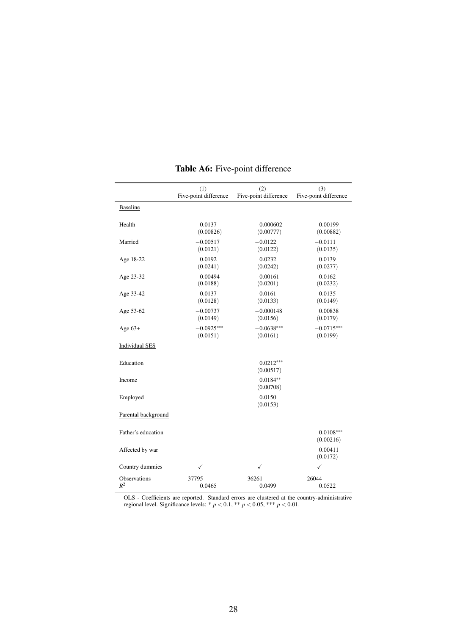|                       | (1)                   | (2)                      | (3)                      |
|-----------------------|-----------------------|--------------------------|--------------------------|
|                       | Five-point difference | Five-point difference    | Five-point difference    |
| <b>Baseline</b>       |                       |                          |                          |
| Health                | 0.0137                | 0.000602                 | 0.00199                  |
|                       | (0.00826)             | (0.00777)                | (0.00882)                |
| Married               | $-0.00517$            | $-0.0122$                | $-0.0111$                |
|                       | (0.0121)              | (0.0122)                 | (0.0135)                 |
| Age 18-22             | 0.0192                | 0.0232                   | 0.0139                   |
|                       | (0.0241)              | (0.0242)                 | (0.0277)                 |
| Age 23-32             | 0.00494               | $-0.00161$               | $-0.0162$                |
|                       | (0.0188)              | (0.0201)                 | (0.0232)                 |
| Age 33-42             | 0.0137                | 0.0161                   | 0.0135                   |
|                       | (0.0128)              | (0.0133)                 | (0.0149)                 |
| Age 53-62             | $-0.00737$            | $-0.000148$              | 0.00838                  |
|                       | (0.0149)              | (0.0156)                 | (0.0179)                 |
| Age $63+$             | $-0.0925***$          | $-0.0638***$             | $-0.0715***$             |
|                       | (0.0151)              | (0.0161)                 | (0.0199)                 |
| <b>Individual SES</b> |                       |                          |                          |
| Education             |                       | $0.0212***$<br>(0.00517) |                          |
| Income                |                       | $0.0184**$<br>(0.00708)  |                          |
| Employed              |                       | 0.0150<br>(0.0153)       |                          |
| Parental background   |                       |                          |                          |
| Father's education    |                       |                          | $0.0108***$<br>(0.00216) |
| Affected by war       |                       |                          | 0.00411<br>(0.0172)      |
| Country dummies       | ✓                     | ✓                        | $\checkmark$             |
| Observations          | 37795                 | 36261                    | 26044                    |
| $R^2$                 | 0.0465                | 0.0499                   | 0.0522                   |

### Table A6: Five-point difference

OLS - Coefficients are reported. Standard errors are clustered at the country-administrative regional level. Significance levels: \* *p* < 0.1, \*\* *p* < 0.05, \*\*\* *p* < 0.01.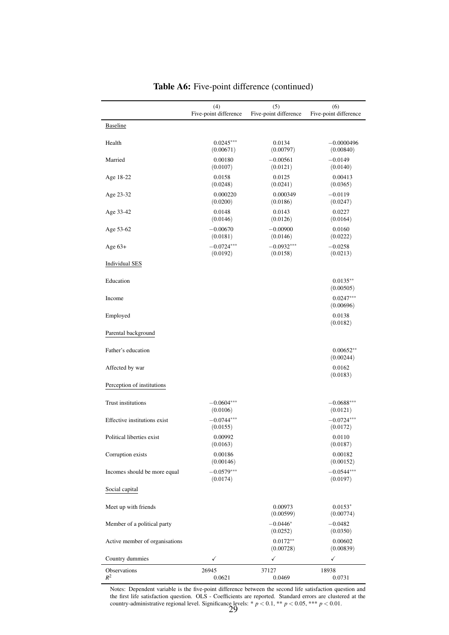|                                | (4)<br>Five-point difference | (5)<br>Five-point difference | (6)<br>Five-point difference |
|--------------------------------|------------------------------|------------------------------|------------------------------|
| <b>Baseline</b>                |                              |                              |                              |
| Health                         | $0.0245***$<br>(0.00671)     | 0.0134<br>(0.00797)          | $-0.0000496$<br>(0.00840)    |
| Married                        | 0.00180<br>(0.0107)          | $-0.00561$<br>(0.0121)       | $-0.0149$<br>(0.0140)        |
| Age 18-22                      | 0.0158<br>(0.0248)           | 0.0125<br>(0.0241)           | 0.00413<br>(0.0365)          |
| Age 23-32                      | 0.000220<br>(0.0200)         | 0.000349<br>(0.0186)         | $-0.0119$<br>(0.0247)        |
| Age 33-42                      | 0.0148<br>(0.0146)           | 0.0143<br>(0.0126)           | 0.0227<br>(0.0164)           |
| Age 53-62                      | $-0.00670$<br>(0.0181)       | $-0.00900$<br>(0.0146)       | 0.0160<br>(0.0222)           |
| Age $63+$                      | $-0.0724***$<br>(0.0192)     | $-0.0932***$<br>(0.0158)     | $-0.0258$<br>(0.0213)        |
| <b>Individual SES</b>          |                              |                              |                              |
| Education                      |                              |                              | $0.0135**$<br>(0.00505)      |
| Income                         |                              |                              | $0.0247***$<br>(0.00696)     |
| Employed                       |                              |                              | 0.0138<br>(0.0182)           |
| Parental background            |                              |                              |                              |
| Father's education             |                              |                              | $0.00652**$<br>(0.00244)     |
| Affected by war                |                              |                              | 0.0162<br>(0.0183)           |
| Perception of institutions     |                              |                              |                              |
| Trust institutions             | $-0.0604***$<br>(0.0106)     |                              | $-0.0688***$<br>(0.0121)     |
| Effective institutions exist   | $-0.0744***$<br>(0.0155)     |                              | $-0.0724***$<br>(0.0172)     |
| Political liberties exist      | 0.00992<br>(0.0163)          |                              | 0.0110<br>(0.0187)           |
| Corruption exists              | 0.00186<br>(0.00146)         |                              | 0.00182<br>(0.00152)         |
| Incomes should be more equal   | $-0.0579***$<br>(0.0174)     |                              | $-0.0544***$<br>(0.0197)     |
| Social capital                 |                              |                              |                              |
| Meet up with friends           |                              | 0.00973<br>(0.00599)         | $0.0153*$<br>(0.00774)       |
| Member of a political party    |                              | $-0.0446*$<br>(0.0252)       | $-0.0482$<br>(0.0350)        |
| Active member of organisations |                              | $0.0172**$<br>(0.00728)      | 0.00602<br>(0.00839)         |
| Country dummies                | ✓                            | ✓                            | ✓                            |
| Observations<br>$R^2$          | 26945<br>0.0621              | 37127<br>0.0469              | 18938<br>0.0731              |

#### Table A6: Five-point difference (continued)

 $\overline{a}$ 

Notes: Dependent variable is the five-point difference between the second life satisfaction question and the first life satisfaction question. OLS - Coefficients are reported. Standard errors are clustered at the country-administrative regional level. Significance levels: \*  $p < 0.1$ , \*\*  $p < 0.05$ , \*\*\*  $p < 0.01$ .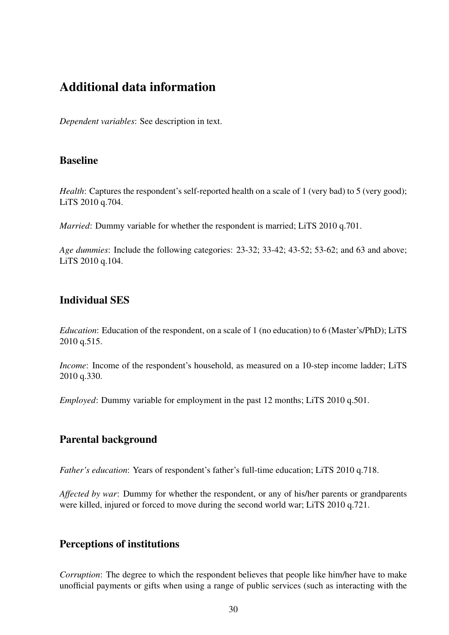# Additional data information

*Dependent variables*: See description in text.

### Baseline

*Health*: Captures the respondent's self-reported health on a scale of 1 (very bad) to 5 (very good); LiTS 2010 q.704.

*Married*: Dummy variable for whether the respondent is married; LiTS 2010 q.701.

*Age dummies*: Include the following categories: 23-32; 33-42; 43-52; 53-62; and 63 and above; LiTS 2010 q.104.

# Individual SES

*Education*: Education of the respondent, on a scale of 1 (no education) to 6 (Master's/PhD); LiTS 2010 q.515.

*Income*: Income of the respondent's household, as measured on a 10-step income ladder; LiTS 2010 q.330.

*Employed*: Dummy variable for employment in the past 12 months; LiTS 2010 q.501.

## Parental background

*Father's education*: Years of respondent's father's full-time education; LiTS 2010 q.718.

*Affected by war*: Dummy for whether the respondent, or any of his/her parents or grandparents were killed, injured or forced to move during the second world war; LiTS 2010 q.721.

## Perceptions of institutions

*Corruption*: The degree to which the respondent believes that people like him/her have to make unofficial payments or gifts when using a range of public services (such as interacting with the